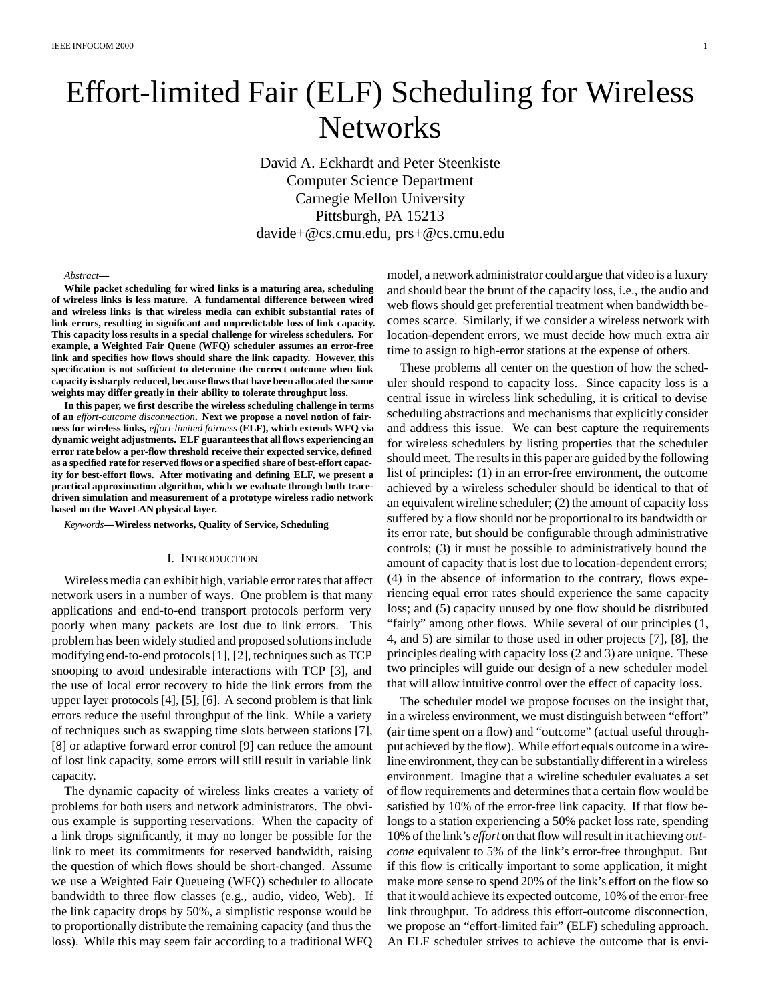# Effort-limited Fair (ELF) Scheduling for Wireless **Networks**

David A. Eckhardt and Peter Steenkiste Computer Science Department Carnegie Mellon University Pittsburgh, PA 15213 davide+@cs.cmu.edu, prs+@cs.cmu.edu

#### *Abstract***—**

**While packet scheduling for wired links is a maturing area, scheduling of wireless links is less mature. A fundamental difference between wired and wireless links is that wireless media can exhibit substantial rates of link errors, resulting in significant and unpredictable loss of link capacity. This capacity loss results in a special challenge for wireless schedulers. For example, a Weighted Fair Queue (WFQ) scheduler assumes an error-free link and specifies how flows should share the link capacity. However, this specification is not sufficient to determine the correct outcome when link capacity is sharply reduced, because flows that have been allocated the same weights may differ greatly in their ability to tolerate throughput loss.**

**In this paper, we first describe the wireless scheduling challenge in terms of an** *effort-outcome disconnection***. Next we propose a novel notion of fairness for wireless links,** *effort-limited fairness* **(ELF), which extends WFQ via dynamic weight adjustments. ELF guarantees that all flows experiencing an error rate below a per-flow threshold receive their expected service, defined as a specified rate for reserved flows or a specified share of best-effort capacity for best-effort flows. After motivating and defining ELF, we present a practical approximation algorithm, which we evaluate through both tracedriven simulation and measurement of a prototype wireless radio network based on the WaveLAN physical layer.**

*Keywords***—Wireless networks, Quality of Service, Scheduling**

### I. INTRODUCTION

Wireless media can exhibit high, variable error rates that affect network users in a number of ways. One problem is that many applications and end-to-end transport protocols perform very poorly when many packets are lost due to link errors. This problem has been widely studied and proposed solutions include modifying end-to-end protocols [1], [2], techniques such as TCP snooping to avoid undesirable interactions with TCP [3], and the use of local error recovery to hide the link errors from the upper layer protocols [4], [5], [6]. A second problem is that link errors reduce the useful throughput of the link. While a variety of techniques such as swapping time slots between stations [7], [8] or adaptive forward error control [9] can reduce the amount of lost link capacity, some errors will still result in variable link capacity.

The dynamic capacity of wireless links creates a variety of problems for both users and network administrators. The obvious example is supporting reservations. When the capacity of a link drops significantly, it may no longer be possible for the link to meet its commitments for reserved bandwidth, raising the question of which flows should be short-changed. Assume we use a Weighted Fair Queueing (WFQ) scheduler to allocate bandwidth to three flow classes (e.g., audio, video, Web). If the link capacity drops by 50%, a simplistic response would be to proportionally distribute the remaining capacity (and thus the loss). While this may seem fair according to a traditional WFQ

model, a network administrator could argue that video is a luxury and should bear the brunt of the capacity loss, i.e., the audio and web flows should get preferential treatment when bandwidth becomes scarce. Similarly, if we consider a wireless network with location-dependent errors, we must decide how much extra air time to assign to high-error stations at the expense of others.

These problems all center on the question of how the scheduler should respond to capacity loss. Since capacity loss is a central issue in wireless link scheduling, it is critical to devise scheduling abstractions and mechanisms that explicitly consider and address this issue. We can best capture the requirements for wireless schedulers by listing properties that the scheduler should meet. The results in this paper are guided by the following list of principles: (1) in an error-free environment, the outcome achieved by a wireless scheduler should be identical to that of an equivalent wireline scheduler; (2) the amount of capacity loss suffered by a flow should not be proportional to its bandwidth or its error rate, but should be configurable through administrative controls; (3) it must be possible to administratively bound the amount of capacity that is lost due to location-dependent errors; (4) in the absence of information to the contrary, flows experiencing equal error rates should experience the same capacity loss; and (5) capacity unused by one flow should be distributed "fairly" among other flows. While several of our principles (1, 4, and 5) are similar to those used in other projects [7], [8], the principles dealing with capacity loss (2 and 3) are unique. These two principles will guide our design of a new scheduler model that will allow intuitive control over the effect of capacity loss.

The scheduler model we propose focuses on the insight that, in a wireless environment, we must distinguish between "effort" (air time spent on a flow) and "outcome" (actual useful throughput achieved by the flow). While effort equals outcome in a wireline environment, they can be substantially different in a wireless environment. Imagine that a wireline scheduler evaluates a set of flow requirements and determines that a certain flow would be satisfied by 10% of the error-free link capacity. If that flow belongs to a station experiencing a 50% packet loss rate, spending 10% of the link's *effort* on that flow will result in it achieving *outcome* equivalent to 5% of the link's error-free throughput. But if this flow is critically important to some application, it might make more sense to spend 20% of the link's effort on the flow so that it would achieve its expected outcome, 10% of the error-free link throughput. To address this effort-outcome disconnection, we propose an "effort-limited fair" (ELF) scheduling approach. An ELF scheduler strives to achieve the outcome that is envi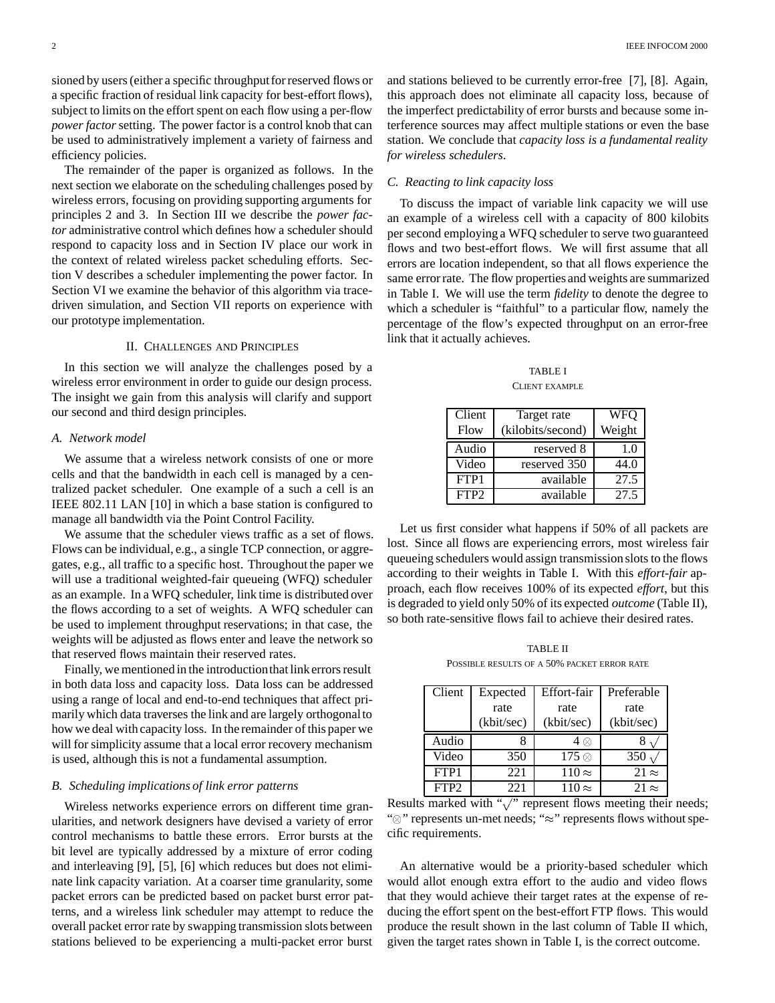sioned by users (either a specific throughput for reserved flows or a specific fraction of residual link capacity for best-effort flows), subject to limits on the effort spent on each flow using a per-flow *power factor*setting. The power factor is a control knob that can be used to administratively implement a variety of fairness and efficiency policies.

The remainder of the paper is organized as follows. In the next section we elaborate on the scheduling challenges posed by wireless errors, focusing on providing supporting arguments for principles 2 and 3. In Section III we describe the *power factor* administrative control which defines how a scheduler should respond to capacity loss and in Section IV place our work in the context of related wireless packet scheduling efforts. Section V describes a scheduler implementing the power factor. In Section VI we examine the behavior of this algorithm via tracedriven simulation, and Section VII reports on experience with our prototype implementation.

## II. CHALLENGES AND PRINCIPLES

In this section we will analyze the challenges posed by a wireless error environment in order to guide our design process. The insight we gain from this analysis will clarify and support our second and third design principles.

# *A. Network model*

We assume that a wireless network consists of one or more cells and that the bandwidth in each cell is managed by a centralized packet scheduler. One example of a such a cell is an IEEE 802.11 LAN [10] in which a base station is configured to manage all bandwidth via the Point Control Facility.

We assume that the scheduler views traffic as a set of flows. Flows can be individual, e.g., a single TCP connection, or aggregates, e.g., all traffic to a specific host. Throughout the paper we will use a traditional weighted-fair queueing (WFQ) scheduler as an example. In a WFQ scheduler, link time is distributed over the flows according to a set of weights. A WFQ scheduler can be used to implement throughput reservations; in that case, the weights will be adjusted as flows enter and leave the network so that reserved flows maintain their reserved rates.

Finally, we mentioned in the introductionthat linkerrors result in both data loss and capacity loss. Data loss can be addressed using a range of local and end-to-end techniques that affect primarily which data traverses the link and are largely orthogonalto how we deal with capacity loss. In the remainder of this paper we will for simplicity assume that a local error recovery mechanism is used, although this is not a fundamental assumption.

## *B. Scheduling implications of link error patterns*

Wireless networks experience errors on different time granularities, and network designers have devised a variety of error control mechanisms to battle these errors. Error bursts at the bit level are typically addressed by a mixture of error coding and interleaving [9], [5], [6] which reduces but does not eliminate link capacity variation. At a coarser time granularity, some packet errors can be predicted based on packet burst error patterns, and a wireless link scheduler may attempt to reduce the overall packet error rate by swapping transmission slots between stations believed to be experiencing a multi-packet error burst

and stations believed to be currently error-free [7], [8]. Again, this approach does not eliminate all capacity loss, because of the imperfect predictability of error bursts and because some interference sources may affect multiple stations or even the base station. We conclude that *capacity loss is a fundamental reality for wireless schedulers*.

# *C. Reacting to link capacity loss*

To discuss the impact of variable link capacity we will use an example of a wireless cell with a capacity of 800 kilobits per second employing a WFQ scheduler to serve two guaranteed flows and two best-effort flows. We will first assume that all errors are location independent, so that all flows experience the same error rate. The flow properties and weights are summarized in Table I. We will use the term *fidelity* to denote the degree to which a scheduler is "faithful" to a particular flow, namely the percentage of the flow's expected throughput on an error-free link that it actually achieves.

TABLE I CLIENT EXAMPLE

| Client           | Target rate       | <b>WFO</b> |
|------------------|-------------------|------------|
| Flow             | (kilobits/second) | Weight     |
| Audio            | reserved 8        | 1.0        |
| Video            | reserved 350      | 44.0       |
| FTP1             | available         | 27.5       |
| FTP <sub>2</sub> | available         | 27.5       |

Let us first consider what happens if 50% of all packets are lost. Since all flows are experiencing errors, most wireless fair queueing schedulers would assign transmission slots to the flows according to their weights in Table I. With this *effort-fair* approach, each flow receives 100% of its expected *effort*, but this is degraded to yield only 50% of its expected *outcome* (Table II), so both rate-sensitive flows fail to achieve their desired rates.

TABLE II POSSIBLE RESULTS OF A 50% PACKET ERROR RATE

| Client           | Expected   | Effort-fair   | Preferable   |  |
|------------------|------------|---------------|--------------|--|
|                  | rate       | rate          | rate         |  |
|                  | (kbit/sec) | (kbit/sec)    | (kbit/sec)   |  |
| Audio            |            |               |              |  |
| Video            | 350        | $175 \otimes$ | 350          |  |
| FTP1             | 221        | $110 \approx$ | $21 \approx$ |  |
| FTP <sub>2</sub> | 221        | $110 \approx$ | $21 \approx$ |  |

Results marked with " $\sqrt{ }$ " represent flows meeting their needs; " $\otimes$ " represents un-met needs; " $\approx$ " represents flows without specific requirements.

An alternative would be a priority-based scheduler which would allot enough extra effort to the audio and video flows that they would achieve their target rates at the expense of reducing the effort spent on the best-effort FTP flows. This would produce the result shown in the last column of Table II which, given the target rates shown in Table I, is the correct outcome.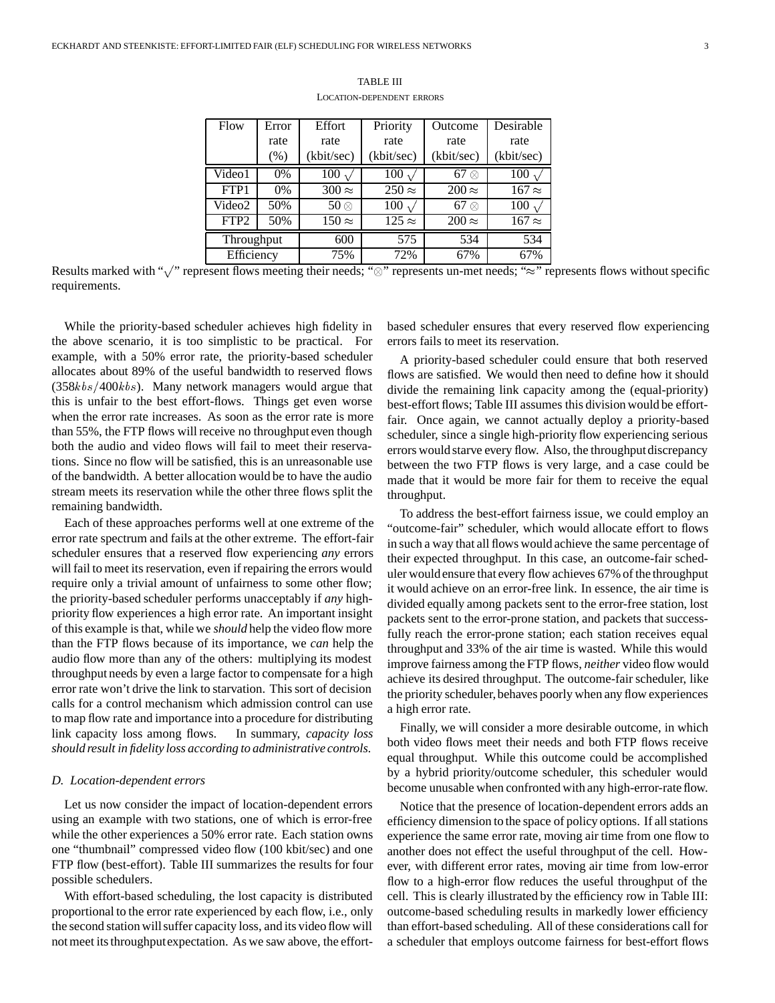| Flow             | Error  | Effort           | Priority         | Outcome       | Desirable     |
|------------------|--------|------------------|------------------|---------------|---------------|
|                  | rate   | rate             | rate             | rate          | rate          |
|                  | $(\%)$ | (kbit/sec)       | (kbit/sec)       | (kbit/sec)    | (kbit/sec)    |
| Video1           | 0%     | 100 <sub>v</sub> | 100 <sub>1</sub> | $67 \otimes$  | 100           |
| FTP1             | 0%     | $300 \approx$    | $250 \approx$    | $200 \approx$ | $167 \approx$ |
| Video2           | 50%    | $50 \otimes$     | 100              | $67 \otimes$  | 100           |
| FTP <sub>2</sub> | 50%    | $150 \approx$    | $125 \approx$    | $200 \approx$ | $167 \approx$ |
| Throughput       |        | 600              | 575              | 534           | 534           |
| Efficiency       |        | 75%              | 72%              | 67%           | 67%           |

TABLE III LOCATION-DEPENDENT ERRORS

Results marked with " $\sqrt{ }$ " represent flows meeting their needs; " $\otimes$ " represents un-met needs; " $\approx$ " represents flows without specific requirements.

While the priority-based scheduler achieves high fidelity in the above scenario, it is too simplistic to be practical. For example, with a 50% error rate, the priority-based scheduler allocates about 89% of the useful bandwidth to reserved flows  $(358kb/s/400kb)$ . Many network managers would argue that this is unfair to the best effort-flows. Things get even worse when the error rate increases. As soon as the error rate is more than 55%, the FTP flows will receive no throughput even though both the audio and video flows will fail to meet their reservations. Since no flow will be satisfied, this is an unreasonable use of the bandwidth. A better allocation would be to have the audio stream meets its reservation while the other three flows split the remaining bandwidth.

Each of these approaches performs well at one extreme of the error rate spectrum and fails at the other extreme. The effort-fair scheduler ensures that a reserved flow experiencing *any* errors will fail to meet its reservation, even if repairing the errors would require only a trivial amount of unfairness to some other flow; the priority-based scheduler performs unacceptably if *any* highpriority flow experiences a high error rate. An important insight of this example is that, while we *should* help the video flow more than the FTP flows because of its importance, we *can* help the audio flow more than any of the others: multiplying its modest throughput needs by even a large factor to compensate for a high error rate won't drive the link to starvation. This sort of decision calls for a control mechanism which admission control can use to map flow rate and importance into a procedure for distributing link capacity loss among flows. In summary, *capacity loss should result in fidelity loss according to administrative controls.*

#### *D. Location-dependent errors*

Let us now consider the impact of location-dependent errors using an example with two stations, one of which is error-free while the other experiences a 50% error rate. Each station owns one "thumbnail" compressed video flow (100 kbit/sec) and one FTP flow (best-effort). Table III summarizes the results for four possible schedulers.

With effort-based scheduling, the lost capacity is distributed proportional to the error rate experienced by each flow, i.e., only the second station willsuffer capacity loss, and its video flow will not meet its throughputexpectation. As we saw above, the effort-

based scheduler ensures that every reserved flow experiencing errors fails to meet its reservation.

A priority-based scheduler could ensure that both reserved flows are satisfied. We would then need to define how it should divide the remaining link capacity among the (equal-priority) best-effort flows; Table III assumes this division would be effortfair. Once again, we cannot actually deploy a priority-based scheduler, since a single high-priority flow experiencing serious errors would starve every flow. Also, the throughputdiscrepancy between the two FTP flows is very large, and a case could be made that it would be more fair for them to receive the equal throughput.

To address the best-effort fairness issue, we could employ an "outcome-fair" scheduler, which would allocate effort to flows in such a way that all flows would achieve the same percentage of their expected throughput. In this case, an outcome-fair scheduler wouldensure that every flow achieves 67% of the throughput it would achieve on an error-free link. In essence, the air time is divided equally among packets sent to the error-free station, lost packets sent to the error-prone station, and packets that successfully reach the error-prone station; each station receives equal throughput and 33% of the air time is wasted. While this would improve fairness among the FTP flows, *neither* video flow would achieve its desired throughput. The outcome-fair scheduler, like the priority scheduler, behaves poorly when any flow experiences a high error rate.

Finally, we will consider a more desirable outcome, in which both video flows meet their needs and both FTP flows receive equal throughput. While this outcome could be accomplished by a hybrid priority/outcome scheduler, this scheduler would become unusable when confronted with any high-error-rate flow.

Notice that the presence of location-dependent errors adds an efficiency dimension to the space of policy options. If all stations experience the same error rate, moving air time from one flow to another does not effect the useful throughput of the cell. However, with different error rates, moving air time from low-error flow to a high-error flow reduces the useful throughput of the cell. This is clearly illustrated by the efficiency row in Table III: outcome-based scheduling results in markedly lower efficiency than effort-based scheduling. All of these considerations call for a scheduler that employs outcome fairness for best-effort flows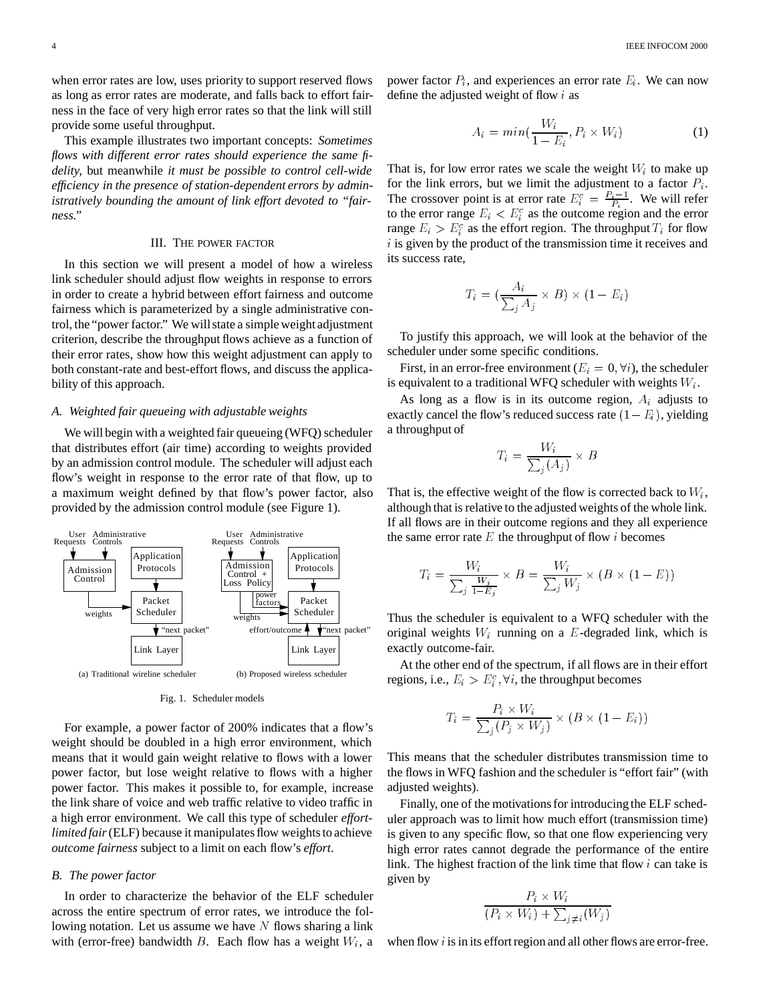when error rates are low, uses priority to support reserved flows as long as error rates are moderate, and falls back to effort fairness in the face of very high error rates so that the link will still provide some useful throughput.

This example illustrates two important concepts: *Sometimes flows with different error rates should experience the same fidelity,* but meanwhile *it must be possible to control cell-wide efficiency in the presence of station-dependent errors by administratively bounding the amount of link effort devoted to "fairness."*

#### III. THE POWER FACTOR

In this section we will present a model of how a wireless link scheduler should adjust flow weights in response to errors in order to create a hybrid between effort fairness and outcome fairness which is parameterized by a single administrative control, the "power factor." We willstate a simple weight adjustment criterion, describe the throughput flows achieve as a function of their error rates, show how this weight adjustment can apply to both constant-rate and best-effort flows, and discuss the applicability of this approach.

## *A. Weighted fair queueing with adjustable weights*

We will begin with a weighted fair queueing (WFQ) scheduler that distributes effort (air time) according to weights provided by an admission control module. The scheduler will adjust each flow's weight in response to the error rate of that flow, up to a maximum weight defined by that flow's power factor, also provided by the admission control module (see Figure 1).



Fig. 1. Scheduler models

For example, a power factor of 200% indicates that a flow's weight should be doubled in a high error environment, which means that it would gain weight relative to flows with a lower power factor, but lose weight relative to flows with a higher power factor. This makes it possible to, for example, increase the link share of voice and web traffic relative to video traffic in a high error environment. We call this type of scheduler *effortlimited fair*(ELF) because it manipulates flow weights to achieve *outcome fairness* subject to a limit on each flow's *effort*.

# *B. The power factor*

In order to characterize the behavior of the ELF scheduler across the entire spectrum of error rates, we introduce the following notation. Let us assume we have  $N$  flows sharing a link with (error-free) bandwidth B. Each flow has a weight  $W_i$ , a

power factor  $P_i$ , and experiences an error rate  $E_i$ . We can now define the adjusted weight of flow  $i$  as

$$
A_i = min\left(\frac{W_i}{1 - E_i}, P_i \times W_i\right) \tag{1}
$$

That is, for low error rates we scale the weight  $W_i$  to make up for the link errors, but we limit the adjustment to a factor  $P_i$ . The crossover point is at error rate  $E_i^c = \frac{P_i - 1}{P_i}$ . We will refer to the error range  $E_i < E_i^c$  as the outcome region and the error range  $E_i > E_i^c$  as the effort region. The throughput  $T_i$  for flow  $i$  is given by the product of the transmission time it receives and its success rate,

$$
T_i = \left(\frac{A_i}{\sum_j A_j} \times B\right) \times \left(1 - E_i\right)
$$

To justify this approach, we will look at the behavior of the scheduler under some specific conditions.

First, in an error-free environment ( $E_i = 0, \forall i$ ), the scheduler is equivalent to a traditional WFQ scheduler with weights  $W_i$ .

As long as a flow is in its outcome region,  $A_i$  adjusts to exactly cancel the flow's reduced success rate  $(1 - E_i)$ , yielding a throughput of

$$
T_i = \frac{W_i}{\sum_j (A_j)} \times B
$$

That is, the effective weight of the flow is corrected back to  $W_i$ , although that is relative to the adjusted weights of the whole link. If all flows are in their outcome regions and they all experience the same error rate  $E$  the throughput of flow  $i$  becomes

$$
T_i = \frac{W_i}{\sum_j \frac{W_j}{1 - E_j}} \times B = \frac{W_i}{\sum_j W_j} \times (B \times (1 - E))
$$

Thus the scheduler is equivalent to a WFQ scheduler with the original weights  $W_i$  running on a E-degraded link, which is exactly outcome-fair.

At the other end of the spectrum, if all flows are in their effort regions, i.e.,  $E_i > E_i^c$ ,  $\forall i$ , the throughput becomes

in the contract of the contract of

$$
T_i = \frac{P_i \times W_i}{\sum_j (P_j \times W_j)} \times (B \times (1 - E_i))
$$

This means that the scheduler distributes transmission time to the flows in WFQ fashion and the scheduler is "effort fair" (with adjusted weights).

Finally, one of the motivations for introducing the ELF scheduler approach was to limit how much effort (transmission time) is given to any specific flow, so that one flow experiencing very high error rates cannot degrade the performance of the entire link. The highest fraction of the link time that flow  $i$  can take is given by

$$
\frac{P_i \times W_i}{(P_i \times W_i) + \sum_{j \neq i} (W_j)}
$$

when flow *i* is in its effort region and all other flows are error-free.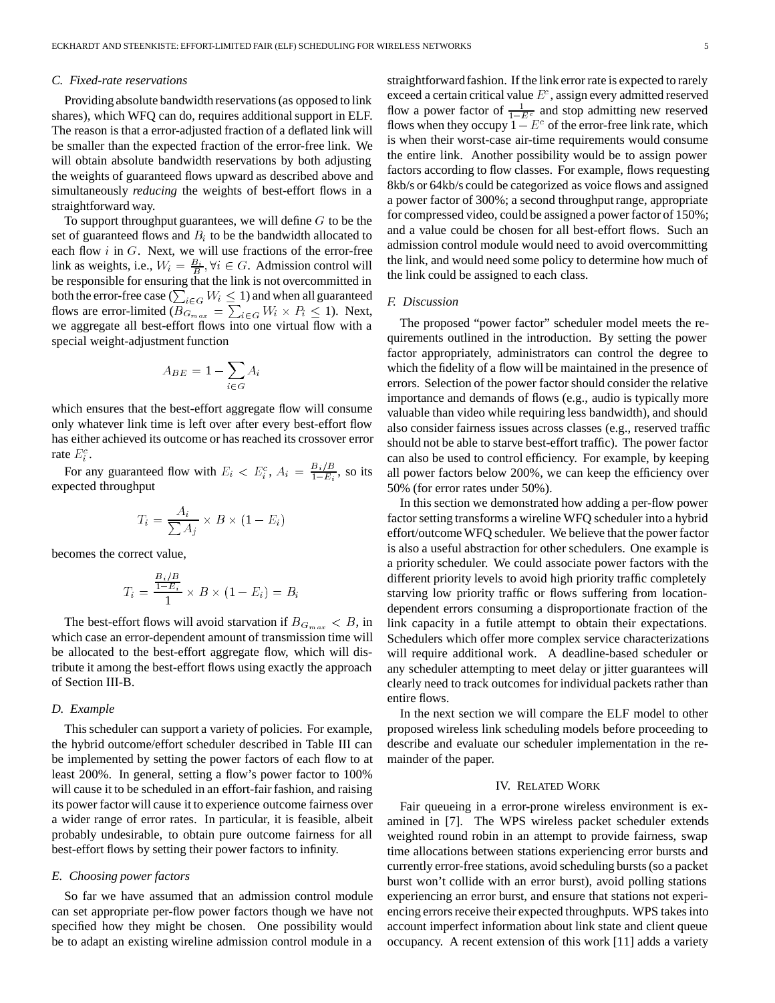#### *C. Fixed-rate reservations*

Providing absolute bandwidth reservations (as opposed to link shares), which WFQ can do, requires additional support in ELF. The reason is that a error-adjusted fraction of a deflated link will be smaller than the expected fraction of the error-free link. We will obtain absolute bandwidth reservations by both adjusting the weights of guaranteed flows upward as described above and simultaneously *reducing* the weights of best-effort flows in a straightforward way.

To support throughput guarantees, we will define  $G$  to be the set of guaranteed flows and  $B_i$  to be the bandwidth allocated to each flow  $i$  in  $G$ . Next, we will use fractions of the error-free link as weights, i.e.,  $W_i = \frac{B_i}{B}$ ,  $\forall i \in G$ . Admission control will be responsible for ensuring that the link is not overcommitted in both the error-free case ( $\sum_{i \in G} W_i \leq 1$ ) and when all guaranteed flows are error-limited ( $B_{G_{max}} = \sum_{i \in G} W_i \times P_i \le 1$ ). Next, we aggregate all best-effort flows into one virtual flow with a special weight-adjustment function

$$
A_{BE} = 1 - \sum_{i \in G} A_i
$$

which ensures that the best-effort aggregate flow will consume only whatever link time is left over after every best-effort flow has either achieved its outcome or has reached its crossover error rate  $E_i^c$ .

For any guaranteed flow with  $E_i < E_i^c$ ,  $A_i = \frac{B_i/B}{1 - E_i}$ , so its expected throughput

$$
T_i = \frac{A_i}{\sum A_j} \times B \times (1 - E_i)
$$

becomes the correct value,

$$
T_i = \frac{\frac{B_i/B}{1 - E_i}}{1} \times B \times (1 - E_i) = B_i
$$

The best-effort flows will avoid starvation if  $B_{G_{max}} < B$ , in which case an error-dependent amount of transmission time will be allocated to the best-effort aggregate flow, which will distribute it among the best-effort flows using exactly the approach of Section III-B.

# *D. Example*

This scheduler can support a variety of policies. For example, the hybrid outcome/effort scheduler described in Table III can be implemented by setting the power factors of each flow to at least 200%. In general, setting a flow's power factor to 100% will cause it to be scheduled in an effort-fair fashion, and raising its power factor will cause it to experience outcome fairness over a wider range of error rates. In particular, it is feasible, albeit probably undesirable, to obtain pure outcome fairness for all best-effort flows by setting their power factors to infinity.

# *E. Choosing power factors*

So far we have assumed that an admission control module can set appropriate per-flow power factors though we have not specified how they might be chosen. One possibility would be to adapt an existing wireline admission control module in a

straightforwardfashion. If the link error rate is expected to rarely exceed a certain critical value  $E^c$ , assign every admitted reserved flow a power factor of  $\frac{1}{1-E^c}$  and stop admitting new reserved flows when they occupy  $1 - E^c$  of the error-free link rate, which is when their worst-case air-time requirements would consume the entire link. Another possibility would be to assign power factors according to flow classes. For example, flows requesting 8kb/s or 64kb/s could be categorized as voice flows and assigned a power factor of 300%; a second throughput range, appropriate for compressed video, could be assigned a power factor of 150%; and a value could be chosen for all best-effort flows. Such an admission control module would need to avoid overcommitting the link, and would need some policy to determine how much of the link could be assigned to each class.

### *F. Discussion*

The proposed "power factor" scheduler model meets the requirements outlined in the introduction. By setting the power factor appropriately, administrators can control the degree to which the fidelity of a flow will be maintained in the presence of errors. Selection of the power factor should consider the relative importance and demands of flows (e.g., audio is typically more valuable than video while requiring less bandwidth), and should also consider fairness issues across classes (e.g., reserved traffic should not be able to starve best-effort traffic). The power factor can also be used to control efficiency. For example, by keeping all power factors below 200%, we can keep the efficiency over 50% (for error rates under 50%).

In this section we demonstrated how adding a per-flow power factor setting transforms a wireline WFQ scheduler into a hybrid effort/outcome WFQ scheduler. We believe that the power factor is also a useful abstraction for other schedulers. One example is a priority scheduler. We could associate power factors with the different priority levels to avoid high priority traffic completely starving low priority traffic or flows suffering from locationdependent errors consuming a disproportionate fraction of the link capacity in a futile attempt to obtain their expectations. Schedulers which offer more complex service characterizations will require additional work. A deadline-based scheduler or any scheduler attempting to meet delay or jitter guarantees will clearly need to track outcomes for individual packets rather than entire flows.

In the next section we will compare the ELF model to other proposed wireless link scheduling models before proceeding to describe and evaluate our scheduler implementation in the remainder of the paper.

#### IV. RELATED WORK

Fair queueing in a error-prone wireless environment is examined in [7]. The WPS wireless packet scheduler extends weighted round robin in an attempt to provide fairness, swap time allocations between stations experiencing error bursts and currently error-free stations, avoid scheduling bursts (so a packet burst won't collide with an error burst), avoid polling stations experiencing an error burst, and ensure that stations not experiencing errors receive their expected throughputs. WPS takes into account imperfect information about link state and client queue occupancy. A recent extension of this work [11] adds a variety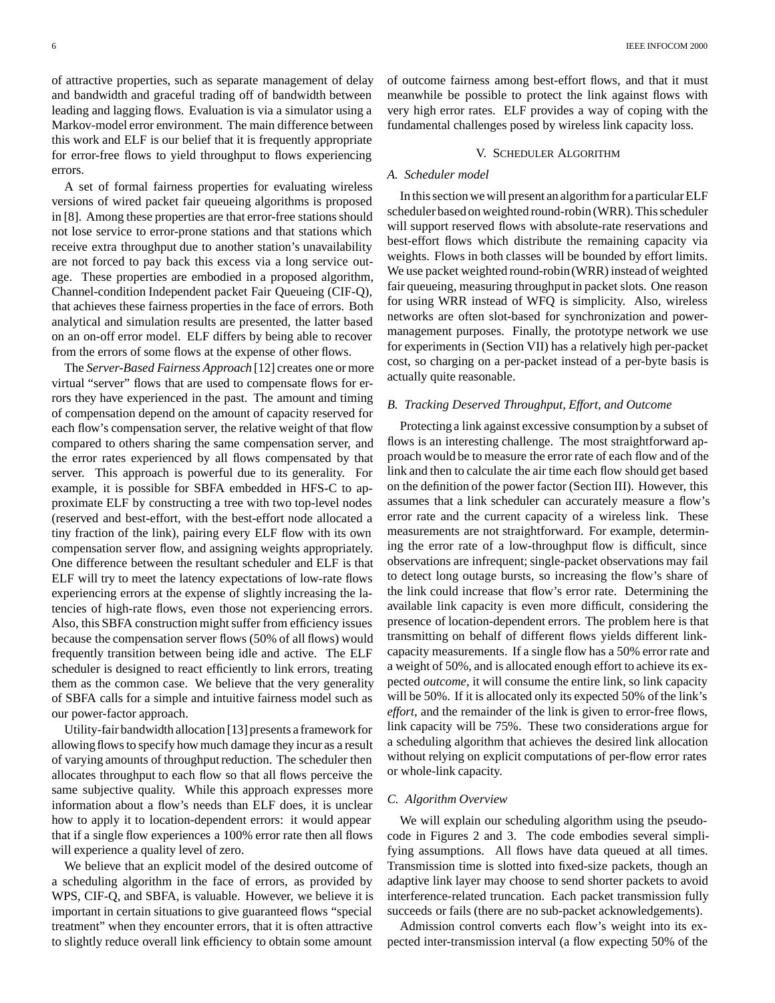of attractive properties, such as separate management of delay and bandwidth and graceful trading off of bandwidth between leading and lagging flows. Evaluation is via a simulator using a Markov-model error environment. The main difference between this work and ELF is our belief that it is frequently appropriate for error-free flows to yield throughput to flows experiencing errors.

A set of formal fairness properties for evaluating wireless versions of wired packet fair queueing algorithms is proposed in [8]. Among these properties are that error-free stations should not lose service to error-prone stations and that stations which receive extra throughput due to another station's unavailability are not forced to pay back this excess via a long service outage. These properties are embodied in a proposed algorithm, Channel-condition Independent packet Fair Queueing (CIF-Q), that achieves these fairness properties in the face of errors. Both analytical and simulation results are presented, the latter based on an on-off error model. ELF differs by being able to recover from the errors of some flows at the expense of other flows.

The *Server-Based Fairness Approach* [12] creates one or more virtual "server" flows that are used to compensate flows for errors they have experienced in the past. The amount and timing of compensation depend on the amount of capacity reserved for each flow's compensation server, the relative weight of that flow compared to others sharing the same compensation server, and the error rates experienced by all flows compensated by that server. This approach is powerful due to its generality. For example, it is possible for SBFA embedded in HFS-C to approximate ELF by constructing a tree with two top-level nodes (reserved and best-effort, with the best-effort node allocated a tiny fraction of the link), pairing every ELF flow with its own compensation server flow, and assigning weights appropriately. One difference between the resultant scheduler and ELF is that ELF will try to meet the latency expectations of low-rate flows experiencing errors at the expense of slightly increasing the latencies of high-rate flows, even those not experiencing errors. Also, this SBFA construction might suffer from efficiency issues because the compensation server flows (50% of all flows) would frequently transition between being idle and active. The ELF scheduler is designed to react efficiently to link errors, treating them as the common case. We believe that the very generality of SBFA calls for a simple and intuitive fairness model such as our power-factor approach.

Utility-fair bandwidth allocation [13] presents a framework for allowing flows to specify how much damage they incur as a result of varying amounts of throughput reduction. The scheduler then allocates throughput to each flow so that all flows perceive the same subjective quality. While this approach expresses more information about a flow's needs than ELF does, it is unclear how to apply it to location-dependent errors: it would appear that if a single flow experiences a 100% error rate then all flows will experience a quality level of zero.

We believe that an explicit model of the desired outcome of a scheduling algorithm in the face of errors, as provided by WPS, CIF-Q, and SBFA, is valuable. However, we believe it is important in certain situations to give guaranteed flows "special treatment" when they encounter errors, that it is often attractive to slightly reduce overall link efficiency to obtain some amount

of outcome fairness among best-effort flows, and that it must meanwhile be possible to protect the link against flows with very high error rates. ELF provides a way of coping with the fundamental challenges posed by wireless link capacity loss.

# V. SCHEDULER ALGORITHM

# *A. Scheduler model*

In this section we will present an algorithm for a particular ELF scheduler based on weighted round-robin (WRR). This scheduler will support reserved flows with absolute-rate reservations and best-effort flows which distribute the remaining capacity via weights. Flows in both classes will be bounded by effort limits. We use packet weighted round-robin(WRR) instead of weighted fair queueing, measuring throughput in packet slots. One reason for using WRR instead of WFQ is simplicity. Also, wireless networks are often slot-based for synchronization and powermanagement purposes. Finally, the prototype network we use for experiments in (Section VII) has a relatively high per-packet cost, so charging on a per-packet instead of a per-byte basis is actually quite reasonable.

# *B. Tracking Deserved Throughput, Effort, and Outcome*

Protecting a link against excessive consumption by a subset of flows is an interesting challenge. The most straightforward approach would be to measure the error rate of each flow and of the link and then to calculate the air time each flow should get based on the definition of the power factor (Section III). However, this assumes that a link scheduler can accurately measure a flow's error rate and the current capacity of a wireless link. These measurements are not straightforward. For example, determining the error rate of a low-throughput flow is difficult, since observations are infrequent; single-packet observations may fail to detect long outage bursts, so increasing the flow's share of the link could increase that flow's error rate. Determining the available link capacity is even more difficult, considering the presence of location-dependent errors. The problem here is that transmitting on behalf of different flows yields different linkcapacity measurements. If a single flow has a 50% error rate and a weight of 50%, and is allocated enough effort to achieve its expected *outcome*, it will consume the entire link, so link capacity will be 50%. If it is allocated only its expected 50% of the link's *effort*, and the remainder of the link is given to error-free flows, link capacity will be 75%. These two considerations argue for a scheduling algorithm that achieves the desired link allocation without relying on explicit computations of per-flow error rates or whole-link capacity.

## *C. Algorithm Overview*

We will explain our scheduling algorithm using the pseudocode in Figures 2 and 3. The code embodies several simplifying assumptions. All flows have data queued at all times. Transmission time is slotted into fixed-size packets, though an adaptive link layer may choose to send shorter packets to avoid interference-related truncation. Each packet transmission fully succeeds or fails (there are no sub-packet acknowledgements).

Admission control converts each flow's weight into its expected inter-transmission interval (a flow expecting 50% of the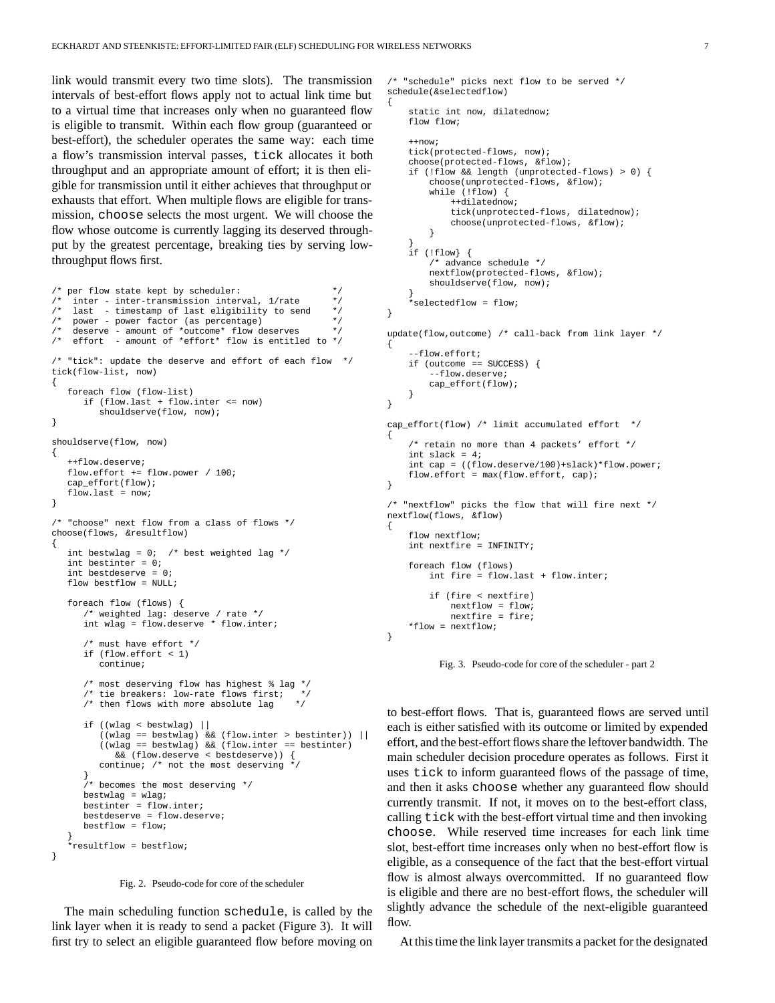link would transmit every two time slots). The transmission intervals of best-effort flows apply not to actual link time but to a virtual time that increases only when no guaranteed flow is eligible to transmit. Within each flow group (guaranteed or best-effort), the scheduler operates the same way: each time a flow's transmission interval passes, tick allocates it both throughput and an appropriate amount of effort; it is then eligible for transmission until it either achieves that throughput or exhausts that effort. When multiple flows are eligible for transmission, choose selects the most urgent. We will choose the flow whose outcome is currently lagging its deserved throughput by the greatest percentage, breaking ties by serving lowthroughput flows first.

```
/* per flow state kept by scheduler: */
   inter - inter-transmission interval, 1/\text{rate} */<br>last - timestamp of last eligibility to send */
% last - timestamp of last eligibility to send */<br>/* power - power factor (as percentage) */
/* power - power factor (as percentage)
   deserve - amount of *outcome* flow deserves
/* effort - amount of *effort* flow is entitled to
/* "tick": update the deserve and effort of each flow */
tick(flow-list, now)
{
   foreach flow (flow-list)
      if (flow.last + flow.inter <= now)
         shouldserve(flow, now);
}
shouldserve(flow, now)
{
   ++flow.deserve;
   flow.effort += flow.power / 100;
   cap_effort(flow);
   flow, last = now;
}
/* "choose" next flow from a class of flows */
choose(flows, &resultflow)
{
   int bestwlag = 0; /* best weighted lag */
   int bestinter = 0;
   int bestdeserve = 0;
   flow bestflow = NULL;
   foreach flow (flows) {
      /* weighted lag: deserve / rate */
      int wlag = flow.deserve * flow.inter;
      /* must have effort */
      if (flow.effort < 1)
         continue;
      /* most deserving flow has highest % lag
      /* tie breakers: low-rate flows first;
      /* then flows with more absolute lag
      if ((wlag < bestwlag) ||
         ((wlag == bestwlag) && (flow.inter > bestinter)) ||
         ((wlag == bestwlag) && (flow.inter == bestinter)
            && (flow.deserve < bestdeserve)) {
         continue; /* not the most deserving */
      }
/* becomes the most deserving */
      bestwlaq = wlaq;
      bestinter = flow.inter;
      bestdeserve = flow.deserve;
      bestflow = flow;
   }
    *resultflow = bestflow;
}
```
Fig. 2. Pseudo-code for core of the scheduler

The main scheduling function schedule, is called by the link layer when it is ready to send a packet (Figure 3). It will first try to select an eligible guaranteed flow before moving on

```
/* "schedule" picks next flow to be served */
schedule(&selectedflow)
{
    static int now, dilatednow;
    flow flow;
    ++now;tick(protected-flows, now);
    choose(protected-flows, &flow);
    if (!flow && length (unprotected-flows) > 0) {
        choose(unprotected-flows, &flow);
        while (!flow) {
            ++dilatednow;
            tick(unprotected-flows, dilatednow);
            choose(unprotected-flows, &flow);
        }
    }
    if (!flow} {
        /* advance schedule */
        nextflow(protected-flows, &flow);
        shouldserve(flow, now);
    }
    *selectedflow = flow;
}
update(flow,outcome) /* call-back from link layer */
{
    --flow.effort;
    if (outcome == SUCCESS) {
         --flow.deserve;
        cap_effort(flow);
    }
}
cap_effort(flow) /* limit accumulated effort */
{
    /* retain no more than 4 packets' effort */
    int slack = 4;
    int cap = ((flow.deserve/100)+slack)*flow.power;
    flow.effort = max(flow.effort, cap);
}
/* "nextflow" picks the flow that will fire next */
nextflow(flows, &flow)
{
    flow nextflow;
    int nextfire = INFINITY;
    foreach flow (flows)
        int fire = flow.last + flow.inter;
        if (fire < nextfire)
            nextflow = flow;
            nextfire = fire;
    *flow = nextflow;
}
```
Fig. 3. Pseudo-code for core of the scheduler - part 2

to best-effort flows. That is, guaranteed flows are served until each is either satisfied with its outcome or limited by expended effort, and the best-effort flows share the leftover bandwidth. The main scheduler decision procedure operates as follows. First it uses tick to inform guaranteed flows of the passage of time, and then it asks choose whether any guaranteed flow should currently transmit. If not, it moves on to the best-effort class, calling tick with the best-effort virtual time and then invoking choose. While reserved time increases for each link time slot, best-effort time increases only when no best-effort flow is eligible, as a consequence of the fact that the best-effort virtual flow is almost always overcommitted. If no guaranteed flow is eligible and there are no best-effort flows, the scheduler will slightly advance the schedule of the next-eligible guaranteed flow.

At this time the link layer transmits a packet for the designated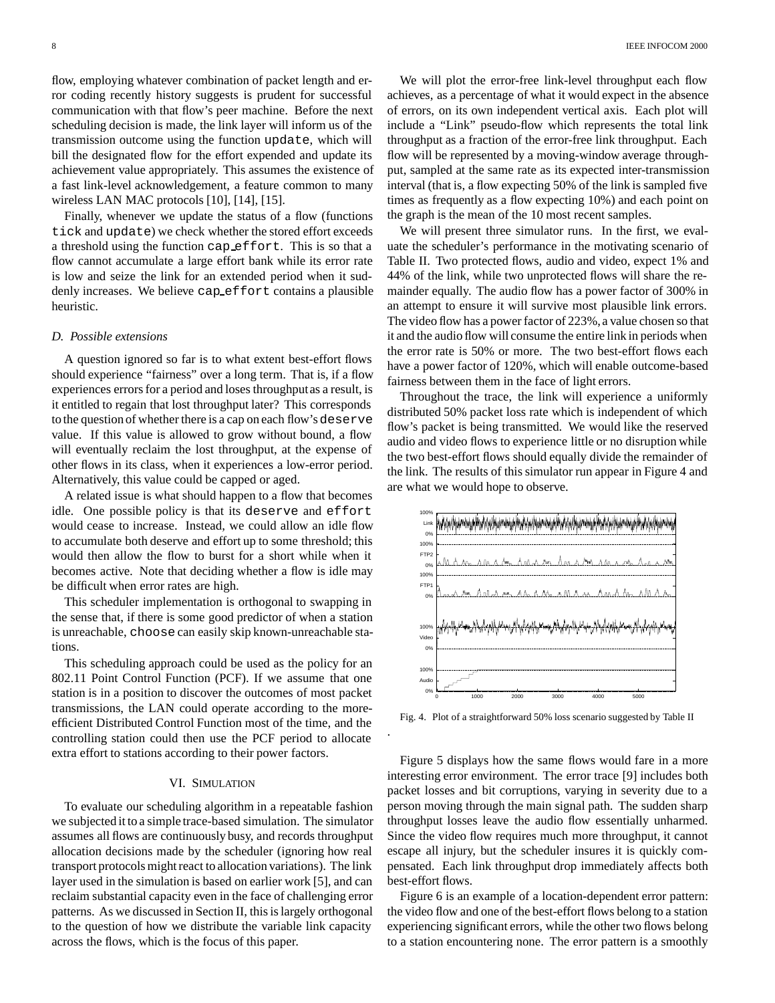flow, employing whatever combination of packet length and error coding recently history suggests is prudent for successful communication with that flow's peer machine. Before the next scheduling decision is made, the link layer will inform us of the transmission outcome using the function update, which will bill the designated flow for the effort expended and update its achievement value appropriately. This assumes the existence of a fast link-level acknowledgement, a feature common to many wireless LAN MAC protocols [10], [14], [15].

Finally, whenever we update the status of a flow (functions tick and update) we check whether the stored effort exceeds a threshold using the function cap effort. This is so that a flow cannot accumulate a large effort bank while its error rate is low and seize the link for an extended period when it suddenly increases. We believe cap effort contains a plausible heuristic.

#### *D. Possible extensions*

A question ignored so far is to what extent best-effort flows should experience "fairness" over a long term. That is, if a flow experiences errors for a period and loses throughputas a result, is it entitled to regain that lost throughput later? This corresponds to the question of whether there is a cap on each flow'sdeserve value. If this value is allowed to grow without bound, a flow will eventually reclaim the lost throughput, at the expense of other flows in its class, when it experiences a low-error period. Alternatively, this value could be capped or aged.

A related issue is what should happen to a flow that becomes idle. One possible policy is that its deserve and effort would cease to increase. Instead, we could allow an idle flow to accumulate both deserve and effort up to some threshold; this would then allow the flow to burst for a short while when it becomes active. Note that deciding whether a flow is idle may be difficult when error rates are high.

This scheduler implementation is orthogonal to swapping in the sense that, if there is some good predictor of when a station is unreachable, choose can easily skip known-unreachable stations.

This scheduling approach could be used as the policy for an 802.11 Point Control Function (PCF). If we assume that one station is in a position to discover the outcomes of most packet transmissions, the LAN could operate according to the moreefficient Distributed Control Function most of the time, and the controlling station could then use the PCF period to allocate extra effort to stations according to their power factors.

# VI. SIMULATION

To evaluate our scheduling algorithm in a repeatable fashion we subjected it to a simple trace-based simulation. The simulator assumes all flows are continuously busy, and records throughput allocation decisions made by the scheduler (ignoring how real transport protocols might react to allocation variations). The link layer used in the simulation is based on earlier work [5], and can reclaim substantial capacity even in the face of challenging error patterns. As we discussed in Section II, this is largely orthogonal to the question of how we distribute the variable link capacity across the flows, which is the focus of this paper.

We will plot the error-free link-level throughput each flow achieves, as a percentage of what it would expect in the absence of errors, on its own independent vertical axis. Each plot will include a "Link" pseudo-flow which represents the total link throughput as a fraction of the error-free link throughput. Each flow will be represented by a moving-window average throughput, sampled at the same rate as its expected inter-transmission interval (that is, a flow expecting 50% of the link is sampled five times as frequently as a flow expecting 10%) and each point on the graph is the mean of the 10 most recent samples.

We will present three simulator runs. In the first, we evaluate the scheduler's performance in the motivating scenario of Table II. Two protected flows, audio and video, expect 1% and 44% of the link, while two unprotected flows will share the remainder equally. The audio flow has a power factor of 300% in an attempt to ensure it will survive most plausible link errors. The video flow has a power factor of 223%, a value chosen so that it and the audio flow will consume the entire link in periods when the error rate is 50% or more. The two best-effort flows each have a power factor of 120%, which will enable outcome-based fairness between them in the face of light errors.

Throughout the trace, the link will experience a uniformly distributed 50% packet loss rate which is independent of which flow's packet is being transmitted. We would like the reserved audio and video flows to experience little or no disruption while the two best-effort flows should equally divide the remainder of the link. The results of this simulator run appear in Figure 4 and are what we would hope to observe.



Fig. 4. Plot of a straightforward 50% loss scenario suggested by Table II

.

Figure 5 displays how the same flows would fare in a more interesting error environment. The error trace [9] includes both packet losses and bit corruptions, varying in severity due to a person moving through the main signal path. The sudden sharp throughput losses leave the audio flow essentially unharmed. Since the video flow requires much more throughput, it cannot escape all injury, but the scheduler insures it is quickly compensated. Each link throughput drop immediately affects both best-effort flows.

Figure 6 is an example of a location-dependent error pattern: the video flow and one of the best-effort flows belong to a station experiencing significant errors, while the other two flows belong to a station encountering none. The error pattern is a smoothly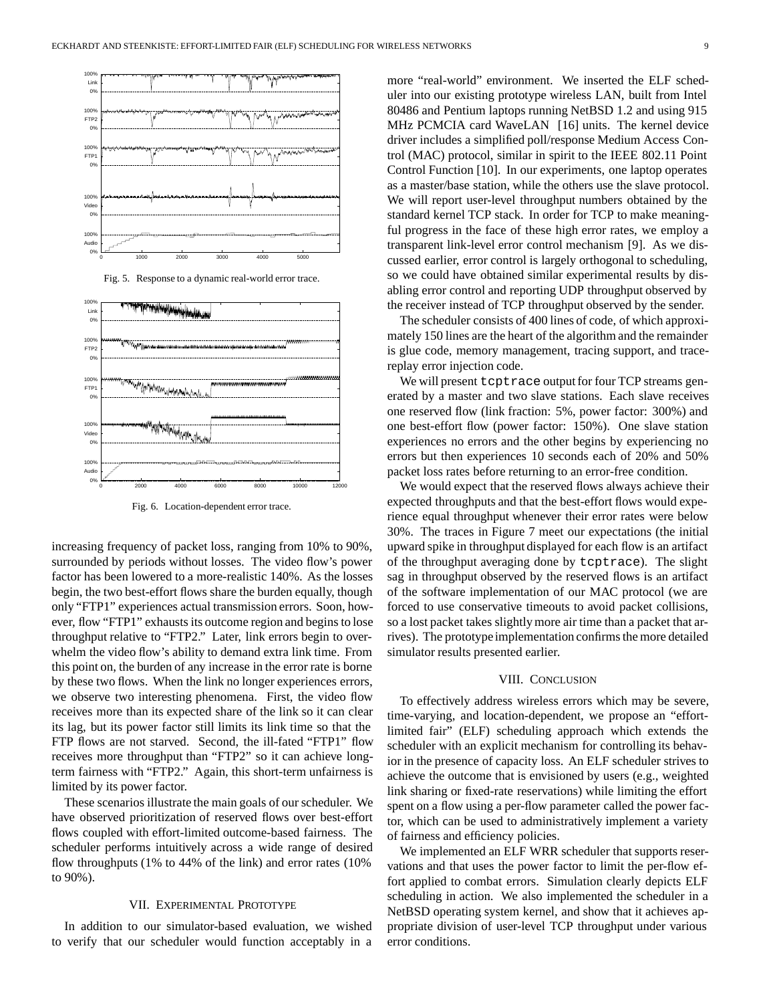

Fig. 5. Response to a dynamic real-world error trace.



Fig. 6. Location-dependent error trace.

increasing frequency of packet loss, ranging from 10% to 90%, surrounded by periods without losses. The video flow's power factor has been lowered to a more-realistic 140%. As the losses begin, the two best-effort flows share the burden equally, though only "FTP1" experiences actual transmission errors. Soon, however, flow "FTP1" exhausts its outcome region and begins to lose throughput relative to "FTP2." Later, link errors begin to overwhelm the video flow's ability to demand extra link time. From this point on, the burden of any increase in the error rate is borne by these two flows. When the link no longer experiences errors, we observe two interesting phenomena. First, the video flow receives more than its expected share of the link so it can clear its lag, but its power factor still limits its link time so that the FTP flows are not starved. Second, the ill-fated "FTP1" flow receives more throughput than "FTP2" so it can achieve longterm fairness with "FTP2." Again, this short-term unfairness is limited by its power factor.

These scenarios illustrate the main goals of our scheduler. We have observed prioritization of reserved flows over best-effort flows coupled with effort-limited outcome-based fairness. The scheduler performs intuitively across a wide range of desired flow throughputs (1% to 44% of the link) and error rates (10% to 90%).

### VII. EXPERIMENTAL PROTOTYPE

In addition to our simulator-based evaluation, we wished to verify that our scheduler would function acceptably in a more "real-world" environment. We inserted the ELF scheduler into our existing prototype wireless LAN, built from Intel 80486 and Pentium laptops running NetBSD 1.2 and using 915 MHz PCMCIA card WaveLAN [16] units. The kernel device driver includes a simplified poll/response Medium Access Control (MAC) protocol, similar in spirit to the IEEE 802.11 Point Control Function [10]. In our experiments, one laptop operates as a master/base station, while the others use the slave protocol. We will report user-level throughput numbers obtained by the standard kernel TCP stack. In order for TCP to make meaningful progress in the face of these high error rates, we employ a transparent link-level error control mechanism [9]. As we discussed earlier, error control is largely orthogonal to scheduling, so we could have obtained similar experimental results by disabling error control and reporting UDP throughput observed by the receiver instead of TCP throughput observed by the sender.

The scheduler consists of 400 lines of code, of which approximately 150 lines are the heart of the algorithm and the remainder is glue code, memory management, tracing support, and tracereplay error injection code.

We will present tcptrace output for four TCP streams generated by a master and two slave stations. Each slave receives one reserved flow (link fraction: 5%, power factor: 300%) and one best-effort flow (power factor: 150%). One slave station experiences no errors and the other begins by experiencing no errors but then experiences 10 seconds each of 20% and 50% packet loss rates before returning to an error-free condition.

We would expect that the reserved flows always achieve their expected throughputs and that the best-effort flows would experience equal throughput whenever their error rates were below 30%. The traces in Figure 7 meet our expectations (the initial upward spike in throughput displayed for each flow is an artifact of the throughput averaging done by tcptrace). The slight sag in throughput observed by the reserved flows is an artifact of the software implementation of our MAC protocol (we are forced to use conservative timeouts to avoid packet collisions, so a lost packet takes slightly more air time than a packet that arrives). The prototype implementation confirms the more detailed simulator results presented earlier.

## VIII. CONCLUSION

To effectively address wireless errors which may be severe, time-varying, and location-dependent, we propose an "effortlimited fair" (ELF) scheduling approach which extends the scheduler with an explicit mechanism for controlling its behavior in the presence of capacity loss. An ELF scheduler strives to achieve the outcome that is envisioned by users (e.g., weighted link sharing or fixed-rate reservations) while limiting the effort spent on a flow using a per-flow parameter called the power factor, which can be used to administratively implement a variety of fairness and efficiency policies.

We implemented an ELF WRR scheduler that supports reservations and that uses the power factor to limit the per-flow effort applied to combat errors. Simulation clearly depicts ELF scheduling in action. We also implemented the scheduler in a NetBSD operating system kernel, and show that it achieves appropriate division of user-level TCP throughput under various error conditions.